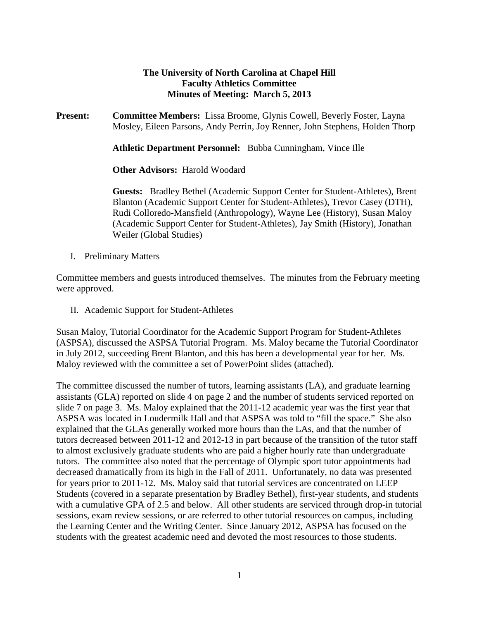#### **The University of North Carolina at Chapel Hill Faculty Athletics Committee Minutes of Meeting: March 5, 2013**

**Present: Committee Members:** Lissa Broome, Glynis Cowell, Beverly Foster, Layna Mosley, Eileen Parsons, Andy Perrin, Joy Renner, John Stephens, Holden Thorp

**Athletic Department Personnel:** Bubba Cunningham, Vince Ille

**Other Advisors:** Harold Woodard

**Guests:** Bradley Bethel (Academic Support Center for Student-Athletes), Brent Blanton (Academic Support Center for Student-Athletes), Trevor Casey (DTH), Rudi Colloredo-Mansfield (Anthropology), Wayne Lee (History), Susan Maloy (Academic Support Center for Student-Athletes), Jay Smith (History), Jonathan Weiler (Global Studies)

I. Preliminary Matters

Committee members and guests introduced themselves. The minutes from the February meeting were approved.

II. Academic Support for Student-Athletes

Susan Maloy, Tutorial Coordinator for the Academic Support Program for Student-Athletes (ASPSA), discussed the ASPSA Tutorial Program. Ms. Maloy became the Tutorial Coordinator in July 2012, succeeding Brent Blanton, and this has been a developmental year for her. Ms. Maloy reviewed with the committee a set of PowerPoint slides (attached).

The committee discussed the number of tutors, learning assistants (LA), and graduate learning assistants (GLA) reported on slide 4 on page 2 and the number of students serviced reported on slide 7 on page 3. Ms. Maloy explained that the 2011-12 academic year was the first year that ASPSA was located in Loudermilk Hall and that ASPSA was told to "fill the space." She also explained that the GLAs generally worked more hours than the LAs, and that the number of tutors decreased between 2011-12 and 2012-13 in part because of the transition of the tutor staff to almost exclusively graduate students who are paid a higher hourly rate than undergraduate tutors. The committee also noted that the percentage of Olympic sport tutor appointments had decreased dramatically from its high in the Fall of 2011. Unfortunately, no data was presented for years prior to 2011-12. Ms. Maloy said that tutorial services are concentrated on LEEP Students (covered in a separate presentation by Bradley Bethel), first-year students, and students with a cumulative GPA of 2.5 and below. All other students are serviced through drop-in tutorial sessions, exam review sessions, or are referred to other tutorial resources on campus, including the Learning Center and the Writing Center. Since January 2012, ASPSA has focused on the students with the greatest academic need and devoted the most resources to those students.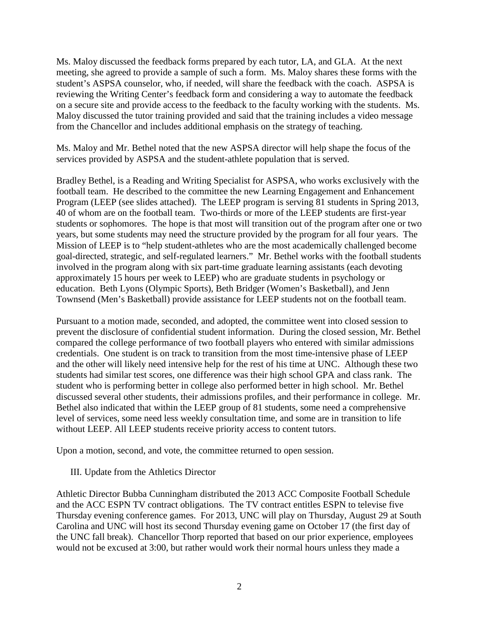Ms. Maloy discussed the feedback forms prepared by each tutor, LA, and GLA. At the next meeting, she agreed to provide a sample of such a form. Ms. Maloy shares these forms with the student's ASPSA counselor, who, if needed, will share the feedback with the coach. ASPSA is reviewing the Writing Center's feedback form and considering a way to automate the feedback on a secure site and provide access to the feedback to the faculty working with the students. Ms. Maloy discussed the tutor training provided and said that the training includes a video message from the Chancellor and includes additional emphasis on the strategy of teaching.

Ms. Maloy and Mr. Bethel noted that the new ASPSA director will help shape the focus of the services provided by ASPSA and the student-athlete population that is served.

Bradley Bethel, is a Reading and Writing Specialist for ASPSA, who works exclusively with the football team. He described to the committee the new Learning Engagement and Enhancement Program (LEEP (see slides attached). The LEEP program is serving 81 students in Spring 2013, 40 of whom are on the football team. Two-thirds or more of the LEEP students are first-year students or sophomores. The hope is that most will transition out of the program after one or two years, but some students may need the structure provided by the program for all four years. The Mission of LEEP is to "help student-athletes who are the most academically challenged become goal-directed, strategic, and self-regulated learners." Mr. Bethel works with the football students involved in the program along with six part-time graduate learning assistants (each devoting approximately 15 hours per week to LEEP) who are graduate students in psychology or education. Beth Lyons (Olympic Sports), Beth Bridger (Women's Basketball), and Jenn Townsend (Men's Basketball) provide assistance for LEEP students not on the football team.

Pursuant to a motion made, seconded, and adopted, the committee went into closed session to prevent the disclosure of confidential student information. During the closed session, Mr. Bethel compared the college performance of two football players who entered with similar admissions credentials. One student is on track to transition from the most time-intensive phase of LEEP and the other will likely need intensive help for the rest of his time at UNC. Although these two students had similar test scores, one difference was their high school GPA and class rank. The student who is performing better in college also performed better in high school. Mr. Bethel discussed several other students, their admissions profiles, and their performance in college. Mr. Bethel also indicated that within the LEEP group of 81 students, some need a comprehensive level of services, some need less weekly consultation time, and some are in transition to life without LEEP. All LEEP students receive priority access to content tutors.

Upon a motion, second, and vote, the committee returned to open session.

#### III. Update from the Athletics Director

Athletic Director Bubba Cunningham distributed the 2013 ACC Composite Football Schedule and the ACC ESPN TV contract obligations. The TV contract entitles ESPN to televise five Thursday evening conference games. For 2013, UNC will play on Thursday, August 29 at South Carolina and UNC will host its second Thursday evening game on October 17 (the first day of the UNC fall break). Chancellor Thorp reported that based on our prior experience, employees would not be excused at 3:00, but rather would work their normal hours unless they made a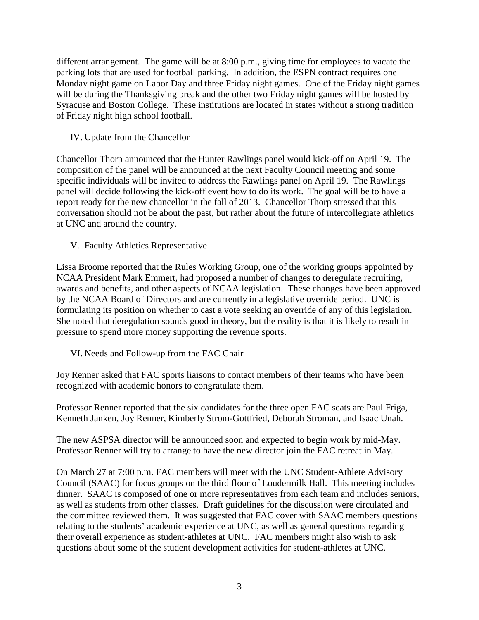different arrangement. The game will be at 8:00 p.m., giving time for employees to vacate the parking lots that are used for football parking. In addition, the ESPN contract requires one Monday night game on Labor Day and three Friday night games. One of the Friday night games will be during the Thanksgiving break and the other two Friday night games will be hosted by Syracuse and Boston College. These institutions are located in states without a strong tradition of Friday night high school football.

IV. Update from the Chancellor

Chancellor Thorp announced that the Hunter Rawlings panel would kick-off on April 19. The composition of the panel will be announced at the next Faculty Council meeting and some specific individuals will be invited to address the Rawlings panel on April 19. The Rawlings panel will decide following the kick-off event how to do its work. The goal will be to have a report ready for the new chancellor in the fall of 2013. Chancellor Thorp stressed that this conversation should not be about the past, but rather about the future of intercollegiate athletics at UNC and around the country.

V. Faculty Athletics Representative

Lissa Broome reported that the Rules Working Group, one of the working groups appointed by NCAA President Mark Emmert, had proposed a number of changes to deregulate recruiting, awards and benefits, and other aspects of NCAA legislation. These changes have been approved by the NCAA Board of Directors and are currently in a legislative override period. UNC is formulating its position on whether to cast a vote seeking an override of any of this legislation. She noted that deregulation sounds good in theory, but the reality is that it is likely to result in pressure to spend more money supporting the revenue sports.

VI. Needs and Follow-up from the FAC Chair

Joy Renner asked that FAC sports liaisons to contact members of their teams who have been recognized with academic honors to congratulate them.

Professor Renner reported that the six candidates for the three open FAC seats are Paul Friga, Kenneth Janken, Joy Renner, Kimberly Strom-Gottfried, Deborah Stroman, and Isaac Unah.

The new ASPSA director will be announced soon and expected to begin work by mid-May. Professor Renner will try to arrange to have the new director join the FAC retreat in May.

On March 27 at 7:00 p.m. FAC members will meet with the UNC Student-Athlete Advisory Council (SAAC) for focus groups on the third floor of Loudermilk Hall. This meeting includes dinner. SAAC is composed of one or more representatives from each team and includes seniors, as well as students from other classes. Draft guidelines for the discussion were circulated and the committee reviewed them. It was suggested that FAC cover with SAAC members questions relating to the students' academic experience at UNC, as well as general questions regarding their overall experience as student-athletes at UNC. FAC members might also wish to ask questions about some of the student development activities for student-athletes at UNC.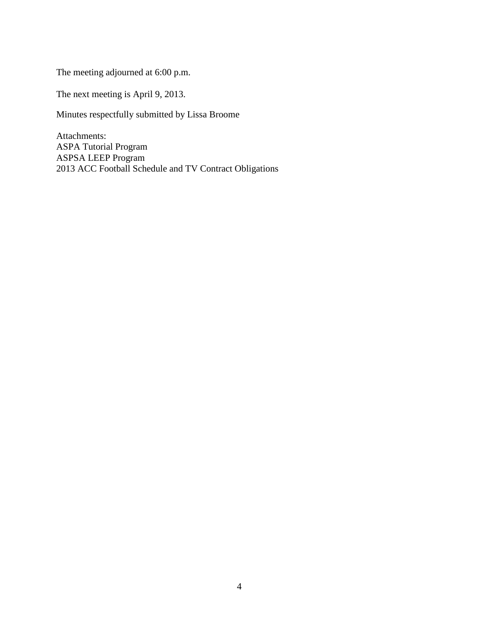The meeting adjourned at 6:00 p.m.

The next meeting is April 9, 2013.

Minutes respectfully submitted by Lissa Broome

Attachments: ASPA Tutorial Program ASPSA LEEP Program 2013 ACC Football Schedule and TV Contract Obligations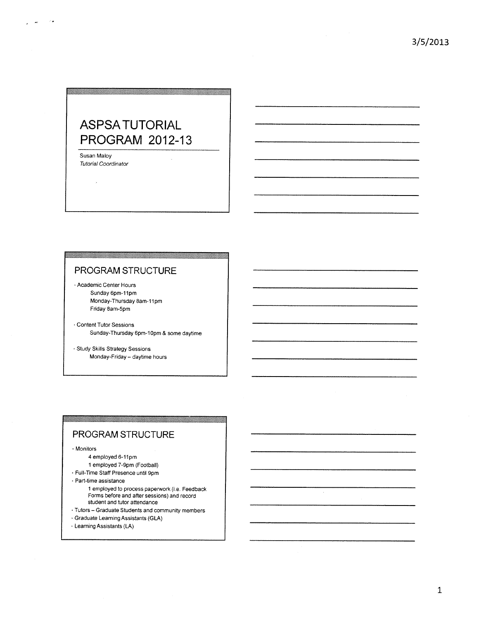# **ASPSATUTORIAL PROGRAM 2012-13**

Susan Maloy **Tutorial Coordinator** 

#### PROGRAM STRUCTURE

<u> 1999 - Johann Stein, Amerikaansk filozof (</u>

- Academic Center Hours Sunday 6pm-11pm Monday-Thursday 8am-11pm Friday 8am-5pm
- · Content Tutor Sessions Sunday-Thursday 6pm-10pm & some daytime
- · Study Skills Strategy Sessions Monday-Friday - daytime hours

#### PROGRAM STRUCTURE

· Monitors

- 4 employed 6-11pm
- 1 employed 7-9pm (Football)
- Full-Time Staff Presence until 9pm
- Part-time assistance
	- 1 employed to process paperwork (i.e. Feedback Forms before and after sessions) and record student and tutor attendance

- Tutors Graduate Students and community members
- Graduate Learning Assistants (GLA)
- · Learning Assistants (LA)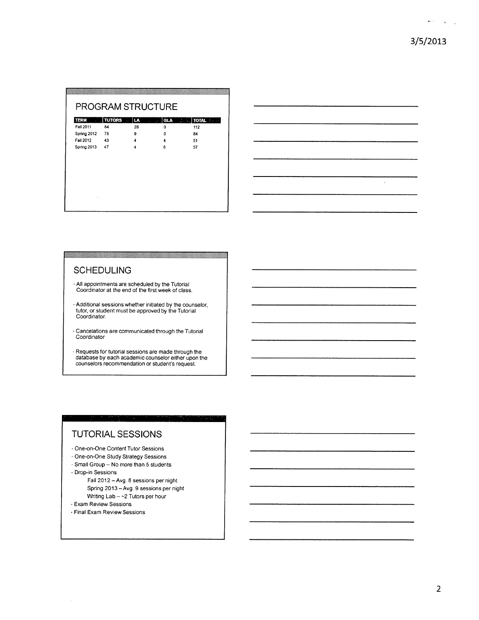$\mathbf{e}_{\mathbf{y}}(t) = \frac{1}{\sqrt{2\pi}}\sum_{\mathbf{y} \in \mathcal{Y}}\left(\frac{1}{\sqrt{2\pi}}\right)^{\frac{1}{2}}$ 

| <b>TERM</b><br>$\sim$ | <b>TUTORS</b> | هاا<br>a, | GLA<br>$\mathcal{L}^{\text{max}}$ | <b>U.S. FOTAL Company</b> |
|-----------------------|---------------|-----------|-----------------------------------|---------------------------|
| Fall 2011             | 84            | 28        | 0                                 | 112                       |
| Spring 2012           | 75            | 9         | ٥                                 | 84                        |
| Fail 2012             | -43           | 4         | 4                                 | 51                        |
| Spring 2013           | - 47          | 4         | 6                                 | 57                        |
|                       |               |           |                                   |                           |
|                       |               |           |                                   |                           |
|                       |               |           |                                   |                           |
|                       |               |           |                                   |                           |
|                       |               |           |                                   |                           |
|                       |               |           |                                   |                           |

| - |  |          |        |
|---|--|----------|--------|
|   |  |          | ------ |
|   |  |          |        |
|   |  | $\infty$ |        |
|   |  |          |        |

#### **SCHEDULING**

- . All appointments are scheduled by the Tutorial<br>Coordinator at the end of the first week of class.
- Additional sessions whether initiated by the counselor,<br>tutor, or student must be approved by the Tutorial Coordinator.
- · Cancelations are communicated through the Tutorial Coordinator
- Requests for tutorial sessions are made through the database by each academic counselor either upon the counselors recommendation or student's request.

matang

#### **TUTORIAL SESSIONS**

- · One-on-One Content Tutor Sessions
- · One-on-One Study Strategy Sessions
- · Small Group No more than 5 students
- Drop-in Sessions
	- Fall 2012 Avg. 8 sessions per night Spring 2013 - Avg. 9 sessions per night Writing Lab - ~ 2 Tutors per hour
- · Exam Review Sessions
- · Final Exam Review Sessions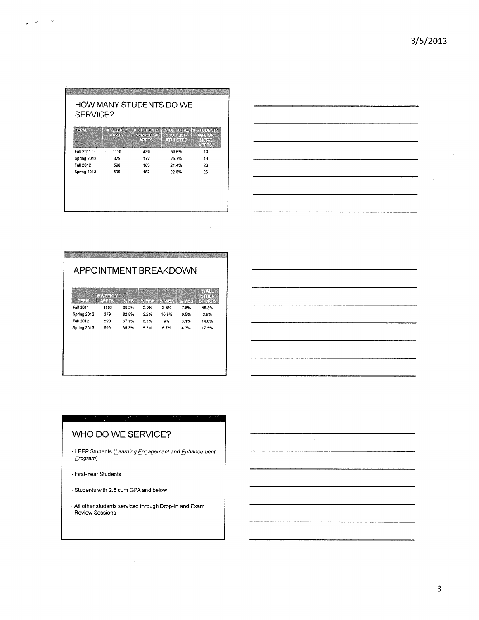| SERVICE?    |                   |                                                                       |                                       |                                    |  |
|-------------|-------------------|-----------------------------------------------------------------------|---------------------------------------|------------------------------------|--|
| TERMI       | ⊕ WEEKEY<br>小型製造所 | <b>BENIDENIS I % OF TOTAL IN STUDENT</b><br>日本部はあいた<br><b>Address</b> | <b>MCVEUP</b> EDEC<br><b>SALES OF</b> | $1.96 \times 0.1$<br>MORE<br>公司法科学 |  |
| Fall 2011   | 1110<br>1,30      | 439                                                                   | 59.6%                                 | 19                                 |  |
| Spring 2012 | 379               | 172                                                                   | 25.7%                                 | 19                                 |  |
| Fall 2012   | 590               | 163                                                                   | 21.4%                                 | 26                                 |  |
| Spring 2013 | 599               | 162                                                                   | 22.8%                                 | 26                                 |  |

 $\mathbf{y} = \mathbf{y}^T \mathbf{y}$  , where



|                  | 1970日日利島省    |                  |      |                               |      | 16.163<br>●日常にはこの |
|------------------|--------------|------------------|------|-------------------------------|------|-------------------|
| 体育家的             | <b>ADDIS</b> | $\mathbb{R}$ and |      | % MBK   % WBK   % MBB   SPORT |      |                   |
| Fall 2011        | 1110         | 39.2%            | 2.9% | 3.6%                          | 7.6% | 46.8%             |
| Spring 2012      | 379          | 82.8%            | 3.2% | 10.8%                         | 0.5% | 2.6%              |
| <b>Fall 2012</b> | 590          | 67.1%            | 6.3% | 9%                            | 3.1% | 14.6%             |
| Spring 2013      | 599          | 653%             | 6.2% | 67%                           | 4.3% | 17.5%             |
|                  |              |                  |      |                               |      |                   |



 $\bar{\gamma}$ 

### WHO DO WE SERVICE?

- LEEP Students (Learning Engagement and Enhancement Program)
- First-Year Students
- Students with 2.5 cum GPA and below
- · All other students serviced through Drop-In and Exam<br>Review Sessions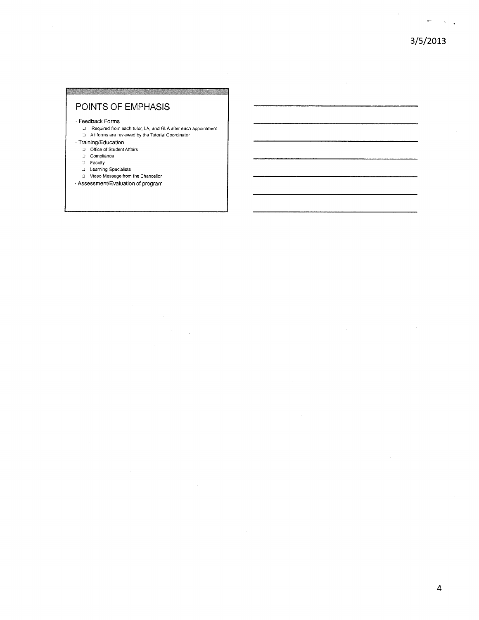$\sim 6\%$  .

#### POINTS OF EMPHASIS

· Feedback Forms

- D Required from each tutor, LA, and GLA after each appointment
- All forms are reviewed by the Tutorial Coordinator

#### · Training/Education

- D Office of Student Affairs
- J Compliance
- $\Box$  Faculty
- J Learning Specialists
- Video Message from the Chancellor
- · Assessment/Evaluation of program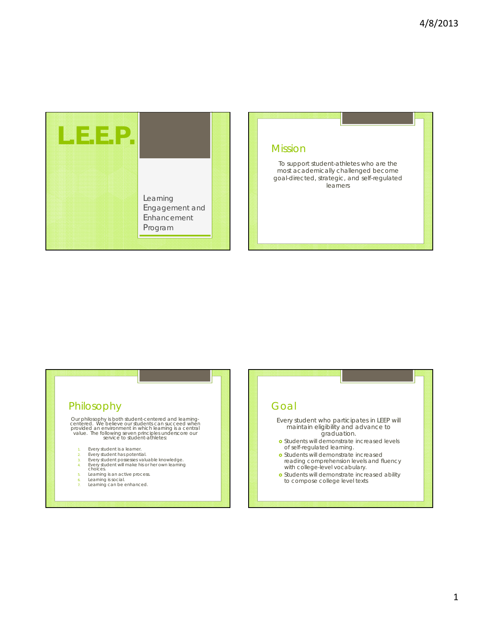

#### Mission

To support student-athletes who are the most academically challenged become goal-directed, strategic, and self-regulated learners

### Philosophy

Our philosophy is both student-centered and learning-<br>centered. We believe our students can succeed when<br>provided an environment in which learning is a central<br>value. The following seven principles underscore our<br>service t

- 1. Every student is a learner. 2. Every student has potential.
- 
- 3. Every student possesses valuable knowledge. 4. Every student will make his or her own learning choices.
- 
- 
- 5. Learning is an active process. 6. Learning is social.
- Learning can be enhanced.

#### Goal

Every student who participates in LEEP will maintain eligibility and advance to graduation.

- **o** Students will demonstrate increased levels of self-regulated learning.
- **o** Students will demonstrate increased reading comprehension levels and fluency with college-level vocabulary.
- **o** Students will demonstrate increased ability to compose college level texts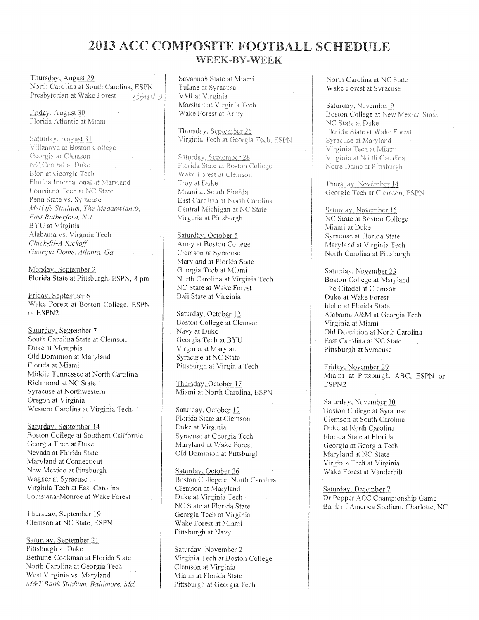## 2013 ACC COMPOSITE FOOTBALL SCHEDULE WEEK-RY-WEEK

Thursday, August 29 North Carolina at South Carolina, ESPN Presbyterian at Wake Forest **ESTAV 3** 

Friday, August 30 Florida Atlantic at Miami

Saturday, August 31 Villanova at Boston College Georgia at Clemson NC Central at Duke Elon at Georgia Tech Florida International at Maryland Louisiana Tech at NC State Penn State vs. Syracuse MetLife Stadium, The Meadowlands, East Rutherford, N.J. BYU at Virginia Alabama vs. Virginia Tech Chick-fil-A Kickoff Georgia Dome, Atlanta, Ga.

Monday, September 2 Florida State at Pittsburgh, ESPN, 8 pm

Friday, September 6 Wake Forest at Boston College, ESPN or ESPN2

Saturday, September 7 South Carolina State at Clemson Duke at Memphis Old Dominion at Maryland Florida at Miami Middle Tennessee at North Carolina Richmond at NC State Syracuse at Northwestern Oregon at Virginia Western Carolina at Virginia Tech

Saturday, September 14 Boston College at Southern California Georgia Tech at Duke Nevada at Florida State Maryland at Connecticut New Mexico at Pittsburgh Wagner at Syracuse Virginia Tech at East Carolina Louisiana-Monroe at Wake Forest

Thursday, September 19 Clemson at NC State, ESPN

Saturday, September 21 Pittsburgh at Duke Bethune-Cookman at Florida State North Carolina at Georgia Tech West Virginia vs. Maryland M&T Bank Stadium, Baltimore, Md. Savannah State at Miami Tulane at Syracuse VMI at Virginia Marshall at Virginia Tech Wake Forest at Army

Thursday, September 26 Virginia Tech at Georgia Tech, ESPN

Saturday, September 28 Florida State at Boston College Wake Forest at Clemson Troy at Duke Miami at South Florida East Carolina at North Carolina Central Michigan at NC State Virginia at Pittsburgh

Saturday, October 5 Army at Boston College Clemson at Syracuse Maryland at Florida State Georgia Tech at Miami North Carolina at Virginia Tech NC State at Wake Forest **Ball State at Virginia** 

Saturday, October 12 Boston College at Clemson Navy at Duke Georgia Tech at BYU Virginia at Maryland Syracuse at NC State Pittsburgh at Virginia Tech

Thursday, October 17 Miami at North Carolina, ESPN

Saturday, October 19 Florida State at Clemson Duke at Virginia Syracuse at Georgia Tech Maryland at Wake Forest Old Dominion at Pittsburgh

Saturday, October 26 Boston College at North Carolina Clemson at Maryland Duke at Virginia Tech NC State at Florida State Georgia Tech at Virginia Wake Forest at Miami Pittsburgh at Navy

Saturday, November 2 Virginia Tech at Boston College Clemson at Virginia Miami at Florida State Pittsburgh at Georgia Tech

North Carolina at NC State Wake Forest at Syracuse

Saturday, November 9 Boston College at New Mexico State NC State at Duke Florida State at Wake Forest Syracuse at Maryland Virginia Tech at Miami Virginia at North Carolina Notre Dame at Pittsburgh

Thursday, November 14 Georgia Tech at Clemson, ESPN

Saturday, November 16 NC State at Boston College Miami at Duke Svracuse at Florida State Maryland at Virginia Tech North Carolina at Pittsburgh<sup>1</sup>

Saturday, November 23 Boston College at Maryland The Citadel at Clemson Duke at Wake Forest Idaho at Florida State Alabama A&M at Georgia Tech Virginia at Miami Old Dominion at North Carolina East Carolina at NC State Pittsburgh at Syracuse

Friday, November 29 Miami at Pittsburgh, ABC, ESPN or ESPN2

Saturday, November 30 Boston College at Syracuse Clemson at South Carolina Duke at North Carolina Florida State at Florida Georgia at Georgia Tech Maryland at NC State Virginia Tech at Virginia Wake Forest at Vanderbilt

Saturday, December 7 Dr Pepper ACC Championship Game Bank of America Stadium, Charlotte, NC